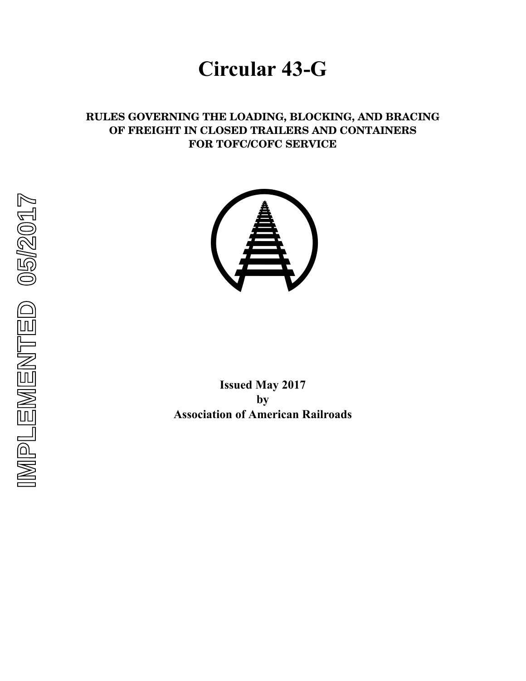# **Circular 43-G**

# **RULES GOVERNING THE LOADING, BLOCKING, AND BRACING OF FREIGHT IN CLOSED TRAILERS AND CONTAINERS FOR TOFC/COFC SERVICE**



**Issued May 2017 by Association of American Railroads**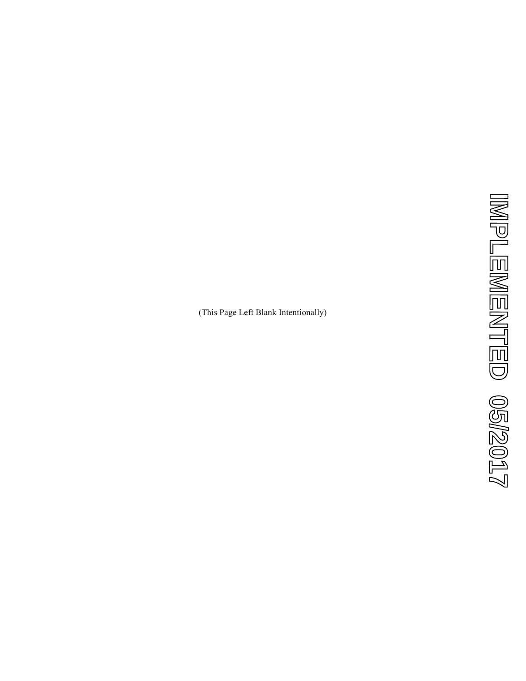(This Page Left Blank Intentionally)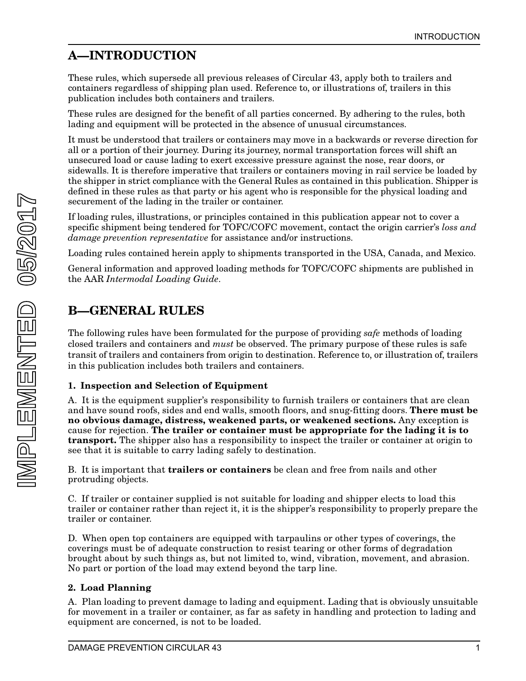# **A—INTRODUCTION**

These rules, which supersede all previous releases of Circular 43, apply both to trailers and containers regardless of shipping plan used. Reference to, or illustrations of, trailers in this publication includes both containers and trailers.

These rules are designed for the benefit of all parties concerned. By adhering to the rules, both lading and equipment will be protected in the absence of unusual circumstances.

It must be understood that trailers or containers may move in a backwards or reverse direction for all or a portion of their journey. During its journey, normal transportation forces will shift an unsecured load or cause lading to exert excessive pressure against the nose, rear doors, or sidewalls. It is therefore imperative that trailers or containers moving in rail service be loaded by the shipper in strict compliance with the General Rules as contained in this publication. Shipper is defined in these rules as that party or his agent who is responsible for the physical loading and securement of the lading in the trailer or container.

If loading rules, illustrations, or principles contained in this publication appear not to cover a specific shipment being tendered for TOFC/COFC movement, contact the origin carrier's *loss and damage prevention representative* for assistance and/or instructions.

Loading rules contained herein apply to shipments transported in the USA, Canada, and Mexico.

General information and approved loading methods for TOFC/COFC shipments are published in the AAR *Intermodal Loading Guide* .

# **B—GENERAL RULES**

The following rules have been formulated for the purpose of providing *safe* methods of loading closed trailers and containers and *must* be observed. The primary purpose of these rules is safe transit of trailers and containers from origin to destination. Reference to, or illustration of, trailers in this publication includes both trailers and containers.

# **1. Inspection and Selection of Equipment**

A. It is the equipment supplier's responsibility to furnish trailers or containers that are clean and have sound roofs, sides and end walls, smooth floors, and snug-fitting doors. **There must be no obvious damage, distress, weakened parts, or weakened sections.** Any exception is cause for rejection. **The trailer or container must be appropriate for the lading it is to transport.** The shipper also has a responsibility to inspect the trailer or container at origin to see that it is suitable to carry lading safely to destination.

B. It is important that **trailers or containers** be clean and free from nails and other protruding objects.

C. If trailer or container supplied is not suitable for loading and shipper elects to load this trailer or container rather than reject it, it is the shipper's responsibility to properly prepare the trailer or container.

D. When open top containers are equipped with tarpaulins or other types of coverings, the coverings must be of adequate construction to resist tearing or other forms of degradation brought about by such things as, but not limited to, wind, vibration, movement, and abrasion. No part or portion of the load may extend beyond the tarp line.

# **2. Load Planning**

A. Plan loading to prevent damage to lading and equipment. Lading that is obviously unsuitable for movement in a trailer or container, as far as safety in handling and protection to lading and equipment are concerned, is not to be loaded.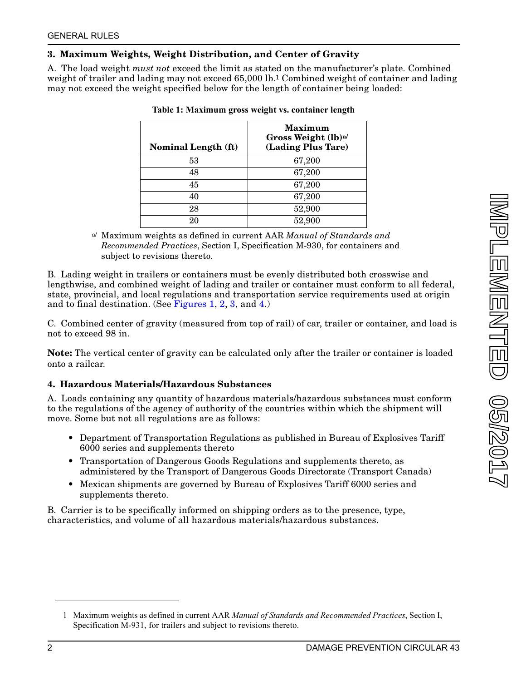# **3. Maximum Weights, Weight Distribution, and Center of Gravity**

A. The load weight *must not* exceed the limit as stated on the manufacturer's plate. Combined weight of trailer and lading may not exceed 65,000 lb. 1 Combined weight of container and lading may not exceed the weight specified below for the length of container being loaded:

| <b>Nominal Length (ft)</b> | <b>Maximum</b><br>Gross Weight (lb)a/<br>(Lading Plus Tare) |  |  |
|----------------------------|-------------------------------------------------------------|--|--|
| 53                         | 67,200                                                      |  |  |
| 48                         | 67,200                                                      |  |  |
| 45                         | 67,200                                                      |  |  |
| 40                         | 67,200                                                      |  |  |
| 28                         | 52,900                                                      |  |  |
| 20                         | 52,900                                                      |  |  |

#### **Table 1: Maximum gross weight vs. container length**

a/ Maximum weights as defined in current AAR *Manual of Standards and Recommended Practices*, Section I, Specification M-930, for containers and subject to revisions thereto.

B. Lading weight in trailers or containers must be evenly distributed both crosswise and lengthwise, and combined weight of lading and trailer or container must conform to all federal, state, provincial, and local regulations and transportation service requirements used at origin and to final destination. (See [Figures 1,](#page-6-0) [2,](#page-6-1) [3,](#page-6-2) and [4.](#page-6-3))

C. Combined center of gravity (measured from top of rail) of car, trailer or container, and load is not to exceed 98 in.

**Note:** The vertical center of gravity can be calculated only after the trailer or container is loaded onto a railcar.

### **4. Hazardous Materials/Hazardous Substances**

A. Loads containing any quantity of hazardous materials/hazardous substances must conform to the regulations of the agency of authority of the countries within which the shipment will move. Some but not all regulations are as follows:

- Department of Transportation Regulations as published in Bureau of Explosives Tariff 6000 series and supplements thereto
- Transportation of Dangerous Goods Regulations and supplements thereto, as administered by the Transport of Dangerous Goods Directorate (Transport Canada)
- Mexican shipments are governed by Bureau of Explosives Tariff 6000 series and supplements thereto.

B. Carrier is to be specifically informed on shipping orders as to the presence, type, characteristics, and volume of all hazardous materials/hazardous substances.

<sup>1</sup> Maximum weights as defined in current AAR *Manual of Standards and Recommended Practices*, Section I, Specification M-931, for trailers and subject to revisions thereto.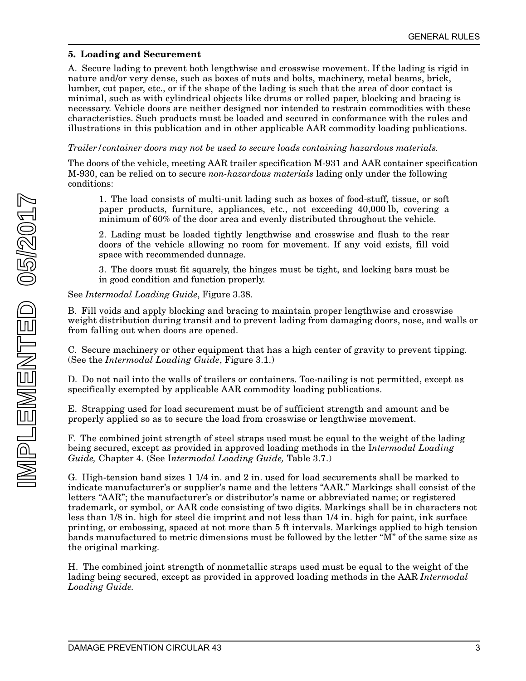# **5. Loading and Securement**

A. Secure lading to prevent both lengthwise and crosswise movement. If the lading is rigid in nature and/or very dense, such as boxes of nuts and bolts, machinery, metal beams, brick, lumber, cut paper, etc., or if the shape of the lading is such that the area of door contact is minimal, such as with cylindrical objects like drums or rolled paper, blocking and bracing is necessary. Vehicle doors are neither designed nor intended to restrain commodities with these characteristics. Such products must be loaded and secured in conformance with the rules and illustrations in this publication and in other applicable AAR commodity loading publications.

### *Trailer/container doors may not be used to secure loads containing hazardous materials.*

The doors of the vehicle, meeting AAR trailer specification M-931 and AAR container specification M-930, can be relied on to secure *non-hazardous materials* lading only under the following conditions:

1. The load consists of multi-unit lading such as boxes of food-stuff, tissue, or soft paper products, furniture, appliances, etc., not exceeding 40,000 lb, covering a minimum of 60% of the door area and evenly distributed throughout the vehicle.

2. Lading must be loaded tightly lengthwise and crosswise and flush to the rear doors of the vehicle allowing no room for movement. If any void exists, fill void space with recommended dunnage.

3. The doors must fit squarely, the hinges must be tight, and locking bars must be in good condition and function properly.

See *Intermodal Loading Guide*, Figure 3.38.

B. Fill voids and apply blocking and bracing to maintain proper lengthwise and crosswise weight distribution during transit and to prevent lading from damaging doors, nose, and walls or from falling out when doors are opened.

C. Secure machinery or other equipment that has a high center of gravity to prevent tipping. (See the *Intermodal Loading Guide*, Figure 3.1.)

D. Do not nail into the walls of trailers or containers. Toe-nailing is not permitted, except as specifically exempted by applicable AAR commodity loading publications.

E. Strapping used for load securement must be of sufficient strength and amount and be properly applied so as to secure the load from crosswise or lengthwise movement.

F. The combined joint strength of steel straps used must be equal to the weight of the lading being secured, except as provided in approved loading methods in the I*ntermodal Loading Guide,* Chapter 4. (See I*ntermodal Loading Guide,* Table 3.7.)

G. High-tension band sizes 1 1/4 in. and 2 in. used for load securements shall be marked to indicate manufacturer's or supplier's name and the letters "AAR." Markings shall consist of the letters "AAR"; the manufacturer's or distributor's name or abbreviated name; or registered trademark, or symbol, or AAR code consisting of two digits. Markings shall be in characters not less than 1/8 in. high for steel die imprint and not less than 1/4 in. high for paint, ink surface printing, or embossing, spaced at not more than 5 ft intervals. Markings applied to high tension bands manufactured to metric dimensions must be followed by the letter "M" of the same size as the original marking.

H. The combined joint strength of nonmetallic straps used must be equal to the weight of the lading being secured, except as provided in approved loading methods in the AAR *Intermodal Loading Guide.*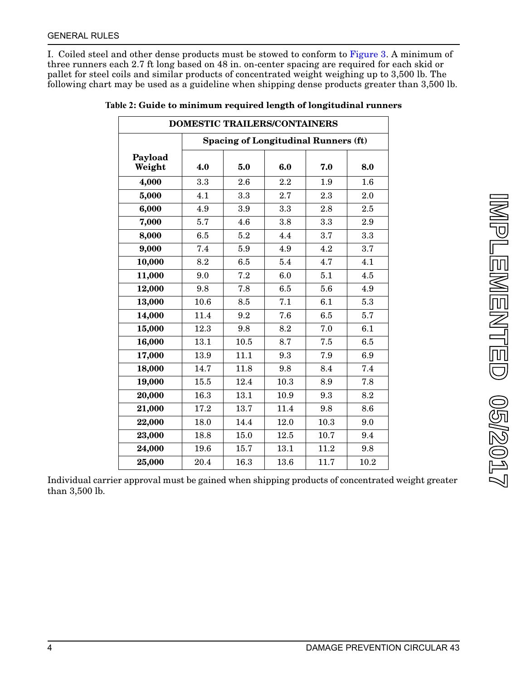<span id="page-5-0"></span>I. Coiled steel and other dense products must be stowed to conform to [Figure 3.](#page-6-2) A minimum of three runners each 2.7 ft long based on 48 in. on-center spacing are required for each skid or pallet for steel coils and similar products of concentrated weight weighing up to 3,500 lb. The following chart may be used as a guideline when shipping dense products greater than 3,500 lb.

| <b>DOMESTIC TRAILERS/CONTAINERS</b> |                                             |      |      |      |      |  |
|-------------------------------------|---------------------------------------------|------|------|------|------|--|
|                                     | <b>Spacing of Longitudinal Runners (ft)</b> |      |      |      |      |  |
| Payload<br>Weight                   | 4.0                                         | 5.0  | 6.0  | 7.0  | 8.0  |  |
| 4,000                               | 3.3                                         | 2.6  | 2.2  | 1.9  | 1.6  |  |
| 5,000                               | 4.1                                         | 3.3  | 2.7  | 2.3  | 2.0  |  |
| 6,000                               | 4.9                                         | 3.9  | 3.3  | 2.8  | 2.5  |  |
| 7,000                               | 5.7                                         | 4.6  | 3.8  | 3.3  | 2.9  |  |
| 8,000                               | 6.5                                         | 5.2  | 4.4  | 3.7  | 3.3  |  |
| 9,000                               | 7.4                                         | 5.9  | 4.9  | 4.2  | 3.7  |  |
| 10,000                              | 8.2                                         | 6.5  | 5.4  | 4.7  | 4.1  |  |
| 11,000                              | 9.0                                         | 7.2  | 6.0  | 5.1  | 4.5  |  |
| 12,000                              | 9.8                                         | 7.8  | 6.5  | 5.6  | 4.9  |  |
| 13,000                              | 10.6                                        | 8.5  | 7.1  | 6.1  | 5.3  |  |
| 14,000                              | 11.4                                        | 9.2  | 7.6  | 6.5  | 5.7  |  |
| 15,000                              | 12.3                                        | 9.8  | 8.2  | 7.0  | 6.1  |  |
| 16,000                              | 13.1                                        | 10.5 | 8.7  | 7.5  | 6.5  |  |
| 17,000                              | 13.9                                        | 11.1 | 9.3  | 7.9  | 6.9  |  |
| 18,000                              | 14.7                                        | 11.8 | 9.8  | 8.4  | 7.4  |  |
| 19,000                              | 15.5                                        | 12.4 | 10.3 | 8.9  | 7.8  |  |
| 20,000                              | 16.3                                        | 13.1 | 10.9 | 9.3  | 8.2  |  |
| 21,000                              | 17.2                                        | 13.7 | 11.4 | 9.8  | 8.6  |  |
| 22,000                              | 18.0                                        | 14.4 | 12.0 | 10.3 | 9.0  |  |
| 23,000                              | 18.8                                        | 15.0 | 12.5 | 10.7 | 9.4  |  |
| 24,000                              | 19.6                                        | 15.7 | 13.1 | 11.2 | 9.8  |  |
| 25,000                              | 20.4                                        | 16.3 | 13.6 | 11.7 | 10.2 |  |

#### **Table 2: Guide to minimum required length of longitudinal runners**

Individual carrier approval must be gained when shipping products of concentrated weight greater than 3,500 lb.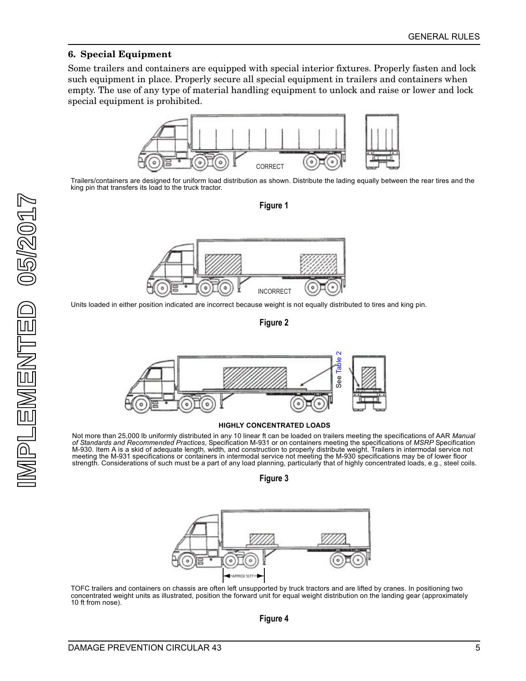# **6. Special Equipment**

Some trailers and containers are equipped with special interior fixtures. Properly fasten and lock such equipment in place. Properly secure all special equipment in trailers and containers when empty. The use of any type of material handling equipment to unlock and raise or lower and lock special equipment is prohibited.



<span id="page-6-0"></span>Trailers/containers are designed for uniform load distribution as shown. Distribute the lading equally between the rear tires and the king pin that transfers its load to the truck tractor.

**Figure 1**



<span id="page-6-1"></span>Units loaded in either position indicated are incorrect because weight is not equally distributed to tires and king pin.

**Figure 2**



#### **HIGHLY CONCENTRATED LOADS**

<span id="page-6-2"></span>Not more than 25,000 lb uniformly distributed in any 10 linear ft can be loaded on trailers meeting the specifications of AAR *Manual*<br>*of Standards and Recommended Practices*, Specification M-931 or on containers meeting M-930. Item A is a skid of adequate length, width, and construction to properly distribute weight. Trailers in intermodal service not

**Figure 3**



<span id="page-6-3"></span>TOFC trailers and containers on chassis are often left unsupported by truck tractors and are lifted by cranes. In positioning two concentrated weight units as illustrated, position the forward unit for equal weight distribution on the landing gear (approximately 10 ft from nose).

**Figure 4**